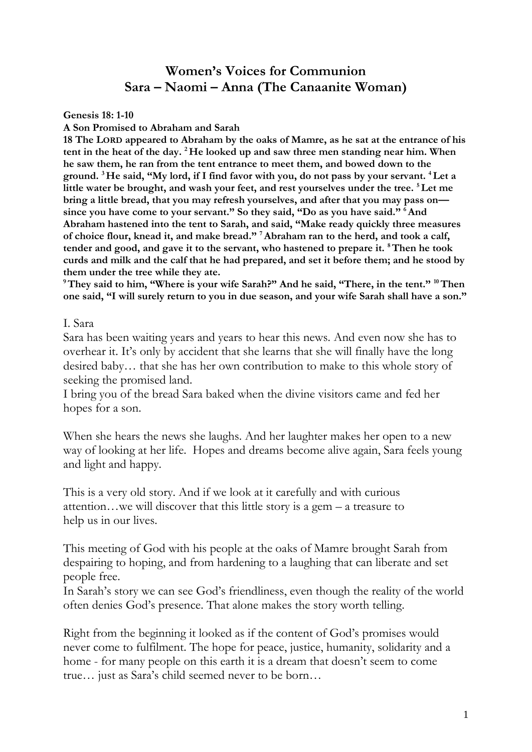## **Women's Voices for Communion Sara – Naomi – Anna (The Canaanite Woman)**

**Genesis 18: 1-10**

**A Son Promised to Abraham and Sarah**

**18 The LORD appeared to Abraham by the oaks of Mamre, as he sat at the entrance of his tent in the heat of the day. <sup>2</sup> He looked up and saw three men standing near him. When he saw them, he ran from the tent entrance to meet them, and bowed down to the ground. <sup>3</sup> He said, "My lord, if I find favor with you, do not pass by your servant. <sup>4</sup>Let a little water be brought, and wash your feet, and rest yourselves under the tree. <sup>5</sup>Let me bring a little bread, that you may refresh yourselves, and after that you may pass on since you have come to your servant." So they said, "Do as you have said." <sup>6</sup>And Abraham hastened into the tent to Sarah, and said, "Make ready quickly three measures of choice flour, knead it, and make bread." <sup>7</sup>Abraham ran to the herd, and took a calf, tender and good, and gave it to the servant, who hastened to prepare it. <sup>8</sup>Then he took curds and milk and the calf that he had prepared, and set it before them; and he stood by them under the tree while they ate.**

**<sup>9</sup>They said to him, "Where is your wife Sarah?" And he said, "There, in the tent." <sup>10</sup>Then one said, "I will surely return to you in due season, and your wife Sarah shall have a son."** 

I. Sara

Sara has been waiting years and years to hear this news. And even now she has to overhear it. It's only by accident that she learns that she will finally have the long desired baby… that she has her own contribution to make to this whole story of seeking the promised land.

I bring you of the bread Sara baked when the divine visitors came and fed her hopes for a son.

When she hears the news she laughs. And her laughter makes her open to a new way of looking at her life. Hopes and dreams become alive again, Sara feels young and light and happy.

This is a very old story. And if we look at it carefully and with curious attention…we will discover that this little story is a gem – a treasure to help us in our lives.

This meeting of God with his people at the oaks of Mamre brought Sarah from despairing to hoping, and from hardening to a laughing that can liberate and set people free.

In Sarah's story we can see God's friendliness, even though the reality of the world often denies God's presence. That alone makes the story worth telling.

Right from the beginning it looked as if the content of God's promises would never come to fulfilment. The hope for peace, justice, humanity, solidarity and a home - for many people on this earth it is a dream that doesn't seem to come true… just as Sara's child seemed never to be born…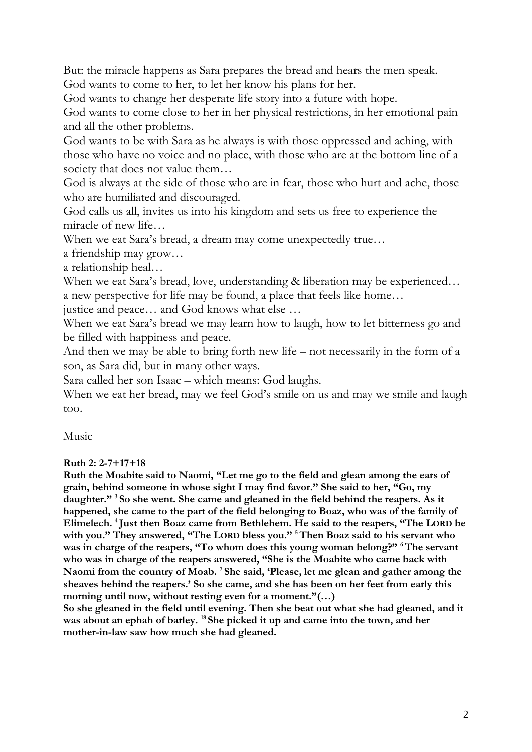But: the miracle happens as Sara prepares the bread and hears the men speak. God wants to come to her, to let her know his plans for her.

God wants to change her desperate life story into a future with hope.

God wants to come close to her in her physical restrictions, in her emotional pain and all the other problems.

God wants to be with Sara as he always is with those oppressed and aching, with those who have no voice and no place, with those who are at the bottom line of a society that does not value them...

God is always at the side of those who are in fear, those who hurt and ache, those who are humiliated and discouraged.

God calls us all, invites us into his kingdom and sets us free to experience the miracle of new life…

When we eat Sara's bread, a dream may come unexpectedly true…

a friendship may grow…

a relationship heal…

When we eat Sara's bread, love, understanding & liberation may be experienced... a new perspective for life may be found, a place that feels like home…

justice and peace… and God knows what else …

When we eat Sara's bread we may learn how to laugh, how to let bitterness go and be filled with happiness and peace.

And then we may be able to bring forth new life – not necessarily in the form of a son, as Sara did, but in many other ways.

Sara called her son Isaac – which means: God laughs.

When we eat her bread, may we feel God's smile on us and may we smile and laugh too.

Music

**Ruth 2: 2-7+17+18**

**Ruth the Moabite said to Naomi, "Let me go to the field and glean among the ears of grain, behind someone in whose sight I may find favor." She said to her, "Go, my daughter." <sup>3</sup> So she went. She came and gleaned in the field behind the reapers. As it happened, she came to the part of the field belonging to Boaz, who was of the family of Elimelech. <sup>4</sup> Just then Boaz came from Bethlehem. He said to the reapers, "The LORD be with you." They answered, "The LORD bless you." <sup>5</sup>Then Boaz said to his servant who was in charge of the reapers, "To whom does this young woman belong?" <sup>6</sup>The servant who was in charge of the reapers answered, "She is the Moabite who came back with Naomi from the country of Moab. <sup>7</sup> She said, 'Please, let me glean and gather among the sheaves behind the reapers.' So she came, and she has been on her feet from early this morning until now, without resting even for a moment."(…)**

**So she gleaned in the field until evening. Then she beat out what she had gleaned, and it was about an ephah of barley. <sup>18</sup> She picked it up and came into the town, and her mother-in-law saw how much she had gleaned.**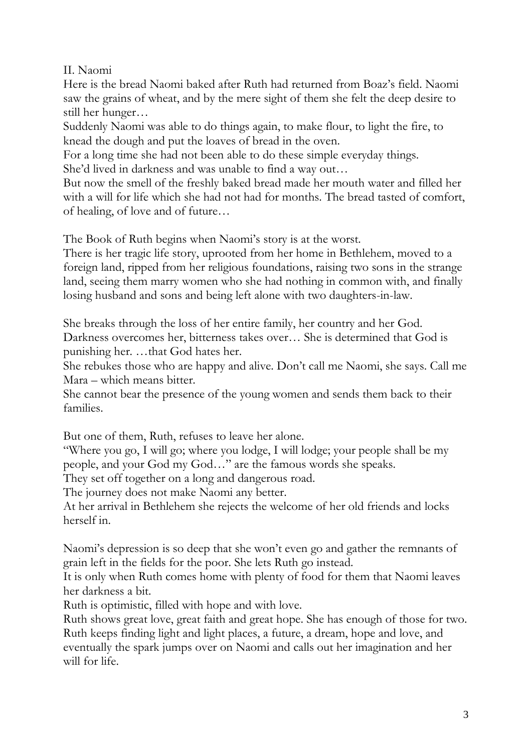## II. Naomi

Here is the bread Naomi baked after Ruth had returned from Boaz's field. Naomi saw the grains of wheat, and by the mere sight of them she felt the deep desire to still her hunger…

Suddenly Naomi was able to do things again, to make flour, to light the fire, to knead the dough and put the loaves of bread in the oven.

For a long time she had not been able to do these simple everyday things.

She'd lived in darkness and was unable to find a way out…

But now the smell of the freshly baked bread made her mouth water and filled her with a will for life which she had not had for months. The bread tasted of comfort, of healing, of love and of future…

The Book of Ruth begins when Naomi's story is at the worst.

There is her tragic life story, uprooted from her home in Bethlehem, moved to a foreign land, ripped from her religious foundations, raising two sons in the strange land, seeing them marry women who she had nothing in common with, and finally losing husband and sons and being left alone with two daughters-in-law.

She breaks through the loss of her entire family, her country and her God. Darkness overcomes her, bitterness takes over… She is determined that God is punishing her. …that God hates her.

She rebukes those who are happy and alive. Don't call me Naomi, she says. Call me Mara – which means bitter.

She cannot bear the presence of the young women and sends them back to their families.

But one of them, Ruth, refuses to leave her alone.

"Where you go, I will go; where you lodge, I will lodge; your people shall be my people, and your God my God…" are the famous words she speaks.

They set off together on a long and dangerous road.

The journey does not make Naomi any better.

At her arrival in Bethlehem she rejects the welcome of her old friends and locks herself in.

Naomi's depression is so deep that she won't even go and gather the remnants of grain left in the fields for the poor. She lets Ruth go instead.

It is only when Ruth comes home with plenty of food for them that Naomi leaves her darkness a bit.

Ruth is optimistic, filled with hope and with love.

Ruth shows great love, great faith and great hope. She has enough of those for two. Ruth keeps finding light and light places, a future, a dream, hope and love, and eventually the spark jumps over on Naomi and calls out her imagination and her will for life.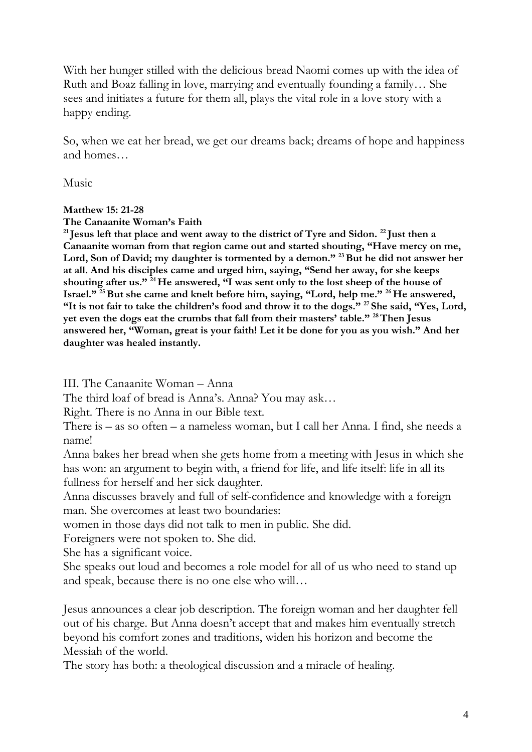With her hunger stilled with the delicious bread Naomi comes up with the idea of Ruth and Boaz falling in love, marrying and eventually founding a family… She sees and initiates a future for them all, plays the vital role in a love story with a happy ending.

So, when we eat her bread, we get our dreams back; dreams of hope and happiness and homes…

Music

## **Matthew 15: 21-28**

**The Canaanite Woman's Faith**

**<sup>21</sup> Jesus left that place and went away to the district of Tyre and Sidon. <sup>22</sup> Just then a Canaanite woman from that region came out and started shouting, "Have mercy on me, Lord, Son of David; my daughter is tormented by a demon." <sup>23</sup>But he did not answer her at all. And his disciples came and urged him, saying, "Send her away, for she keeps shouting after us." <sup>24</sup> He answered, "I was sent only to the lost sheep of the house of Israel." <sup>25</sup>But she came and knelt before him, saying, "Lord, help me." <sup>26</sup> He answered, "It is not fair to take the children's food and throw it to the dogs." <sup>27</sup> She said, "Yes, Lord, yet even the dogs eat the crumbs that fall from their masters' table." <sup>28</sup>Then Jesus answered her, "Woman, great is your faith! Let it be done for you as you wish." And her daughter was healed instantly.**

III. The Canaanite Woman – Anna

The third loaf of bread is Anna's. Anna? You may ask…

Right. There is no Anna in our Bible text.

There is – as so often – a nameless woman, but I call her Anna. I find, she needs a name!

Anna bakes her bread when she gets home from a meeting with Jesus in which she has won: an argument to begin with, a friend for life, and life itself: life in all its fullness for herself and her sick daughter.

Anna discusses bravely and full of self-confidence and knowledge with a foreign man. She overcomes at least two boundaries:

women in those days did not talk to men in public. She did.

Foreigners were not spoken to. She did.

She has a significant voice.

She speaks out loud and becomes a role model for all of us who need to stand up and speak, because there is no one else who will…

Jesus announces a clear job description. The foreign woman and her daughter fell out of his charge. But Anna doesn't accept that and makes him eventually stretch beyond his comfort zones and traditions, widen his horizon and become the Messiah of the world.

The story has both: a theological discussion and a miracle of healing.